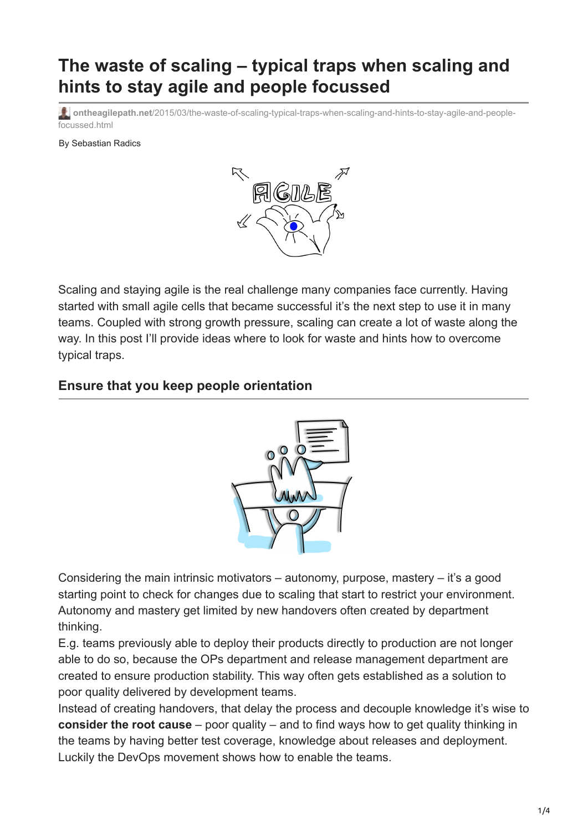## **The waste of scaling – typical traps when scaling and hints to stay agile and people focussed**

**ontheagilepath.net**[/2015/03/the-waste-of-scaling-typical-traps-when-scaling-and-hints-to-stay-agile-and-people](https://www.ontheagilepath.net/2015/03/the-waste-of-scaling-typical-traps-when-scaling-and-hints-to-stay-agile-and-people-focussed.html)focussed.html

By Sebastian Radics



Scaling and staying agile is the real challenge many companies face currently. Having started with small agile cells that became successful it's the next step to use it in many teams. Coupled with strong growth pressure, scaling can create a lot of waste along the way. In this post I'll provide ideas where to look for waste and hints how to overcome typical traps.

## **Ensure that you keep people orientation**



Considering the main intrinsic motivators – autonomy, purpose, mastery – it's a good starting point to check for changes due to scaling that start to restrict your environment. Autonomy and mastery get limited by new handovers often created by department thinking.

E.g. teams previously able to deploy their products directly to production are not longer able to do so, because the OPs department and release management department are created to ensure production stability. This way often gets established as a solution to poor quality delivered by development teams.

Instead of creating handovers, that delay the process and decouple knowledge it's wise to **consider the root cause** – poor quality – and to find ways how to get quality thinking in the teams by having better test coverage, knowledge about releases and deployment. Luckily the DevOps movement shows how to enable the teams.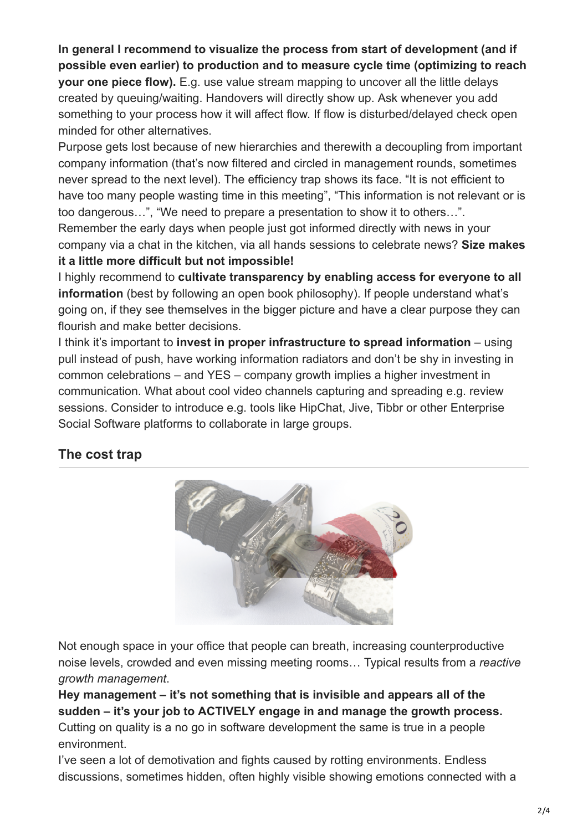**In general I recommend to visualize the process from start of development (and if possible even earlier) to production and to measure cycle time (optimizing to reach your one piece flow).** E.g. use value stream mapping to uncover all the little delays created by queuing/waiting. Handovers will directly show up. Ask whenever you add something to your process how it will affect flow. If flow is disturbed/delayed check open minded for other alternatives.

Purpose gets lost because of new hierarchies and therewith a decoupling from important company information (that's now filtered and circled in management rounds, sometimes never spread to the next level). The efficiency trap shows its face. "It is not efficient to have too many people wasting time in this meeting", "This information is not relevant or is too dangerous…", "We need to prepare a presentation to show it to others…". Remember the early days when people just got informed directly with news in your company via a chat in the kitchen, via all hands sessions to celebrate news? **Size makes it a little more difficult but not impossible!**

I highly recommend to **cultivate transparency by enabling access for everyone to all information** (best by following an open book philosophy). If people understand what's going on, if they see themselves in the bigger picture and have a clear purpose they can flourish and make better decisions.

I think it's important to **invest in proper infrastructure to spread information** – using pull instead of push, have working information radiators and don't be shy in investing in common celebrations – and YES – company growth implies a higher investment in communication. What about cool video channels capturing and spreading e.g. review sessions. Consider to introduce e.g. tools like HipChat, Jive, Tibbr or other Enterprise Social Software platforms to collaborate in large groups.

## **The cost trap**



Not enough space in your office that people can breath, increasing counterproductive noise levels, crowded and even missing meeting rooms… Typical results from a *reactive growth management*.

**Hey management – it's not something that is invisible and appears all of the sudden – it's your job to ACTIVELY engage in and manage the growth process.** Cutting on quality is a no go in software development the same is true in a people environment.

I've seen a lot of demotivation and fights caused by rotting environments. Endless discussions, sometimes hidden, often highly visible showing emotions connected with a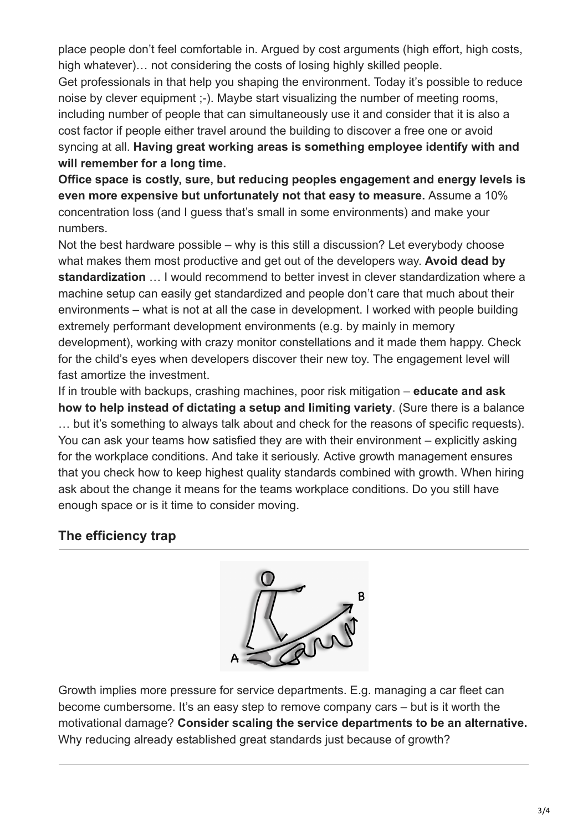place people don't feel comfortable in. Argued by cost arguments (high effort, high costs, high whatever)… not considering the costs of losing highly skilled people.

Get professionals in that help you shaping the environment. Today it's possible to reduce noise by clever equipment ;-). Maybe start visualizing the number of meeting rooms, including number of people that can simultaneously use it and consider that it is also a cost factor if people either travel around the building to discover a free one or avoid syncing at all. **Having great working areas is something employee identify with and will remember for a long time.**

**Office space is costly, sure, but reducing peoples engagement and energy levels is even more expensive but unfortunately not that easy to measure.** Assume a 10% concentration loss (and I guess that's small in some environments) and make your numbers.

Not the best hardware possible – why is this still a discussion? Let everybody choose what makes them most productive and get out of the developers way. **Avoid dead by standardization** … I would recommend to better invest in clever standardization where a machine setup can easily get standardized and people don't care that much about their environments – what is not at all the case in development. I worked with people building extremely performant development environments (e.g. by mainly in memory development), working with crazy monitor constellations and it made them happy. Check for the child's eyes when developers discover their new toy. The engagement level will fast amortize the investment.

If in trouble with backups, crashing machines, poor risk mitigation – **educate and ask how to help instead of dictating a setup and limiting variety**. (Sure there is a balance … but it's something to always talk about and check for the reasons of specific requests). You can ask your teams how satisfied they are with their environment – explicitly asking for the workplace conditions. And take it seriously. Active growth management ensures that you check how to keep highest quality standards combined with growth. When hiring ask about the change it means for the teams workplace conditions. Do you still have enough space or is it time to consider moving.

## **The efficiency trap**



Growth implies more pressure for service departments. E.g. managing a car fleet can become cumbersome. It's an easy step to remove company cars – but is it worth the motivational damage? **Consider scaling the service departments to be an alternative.** Why reducing already established great standards just because of growth?